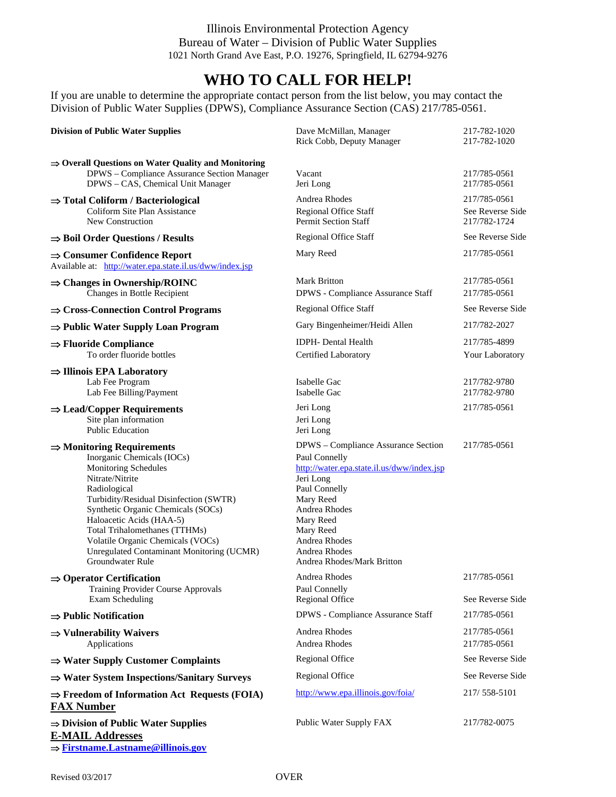Illinois Environmental Protection Agency Bureau of Water – Division of Public Water Supplies 1021 North Grand Ave East, P.O. 19276, Springfield, IL 62794-9276

## **WHO TO CALL FOR HELP!**

If you are unable to determine the appropriate contact person from the list below, you may contact the Division of Public Water Supplies (DPWS), Compliance Assurance Section (CAS) 217/785-0561.

| <b>Division of Public Water Supplies</b>                                                                                                                                                                                                                                                                                                                                                        | Dave McMillan, Manager<br>Rick Cobb, Deputy Manager                                                                                                                                                                                                      | 217-782-1020<br>217-782-1020                     |
|-------------------------------------------------------------------------------------------------------------------------------------------------------------------------------------------------------------------------------------------------------------------------------------------------------------------------------------------------------------------------------------------------|----------------------------------------------------------------------------------------------------------------------------------------------------------------------------------------------------------------------------------------------------------|--------------------------------------------------|
| $\Rightarrow$ Overall Questions on Water Quality and Monitoring<br>DPWS - Compliance Assurance Section Manager<br>DPWS - CAS, Chemical Unit Manager                                                                                                                                                                                                                                             | Vacant<br>Jeri Long                                                                                                                                                                                                                                      | 217/785-0561<br>217/785-0561                     |
| $\Rightarrow$ Total Coliform / Bacteriological<br>Coliform Site Plan Assistance<br>New Construction                                                                                                                                                                                                                                                                                             | Andrea Rhodes<br><b>Regional Office Staff</b><br><b>Permit Section Staff</b>                                                                                                                                                                             | 217/785-0561<br>See Reverse Side<br>217/782-1724 |
| $\Rightarrow$ Boil Order Questions / Results                                                                                                                                                                                                                                                                                                                                                    | Regional Office Staff                                                                                                                                                                                                                                    | See Reverse Side                                 |
| $\Rightarrow$ Consumer Confidence Report<br>Available at: http://water.epa.state.il.us/dww/index.jsp                                                                                                                                                                                                                                                                                            | Mary Reed                                                                                                                                                                                                                                                | 217/785-0561                                     |
| $\Rightarrow$ Changes in Ownership/ROINC<br>Changes in Bottle Recipient                                                                                                                                                                                                                                                                                                                         | <b>Mark Britton</b><br>DPWS - Compliance Assurance Staff                                                                                                                                                                                                 | 217/785-0561<br>217/785-0561                     |
| $\Rightarrow$ Cross-Connection Control Programs                                                                                                                                                                                                                                                                                                                                                 | <b>Regional Office Staff</b>                                                                                                                                                                                                                             | See Reverse Side                                 |
| $\Rightarrow$ Public Water Supply Loan Program                                                                                                                                                                                                                                                                                                                                                  | Gary Bingenheimer/Heidi Allen                                                                                                                                                                                                                            | 217/782-2027                                     |
| $\Rightarrow$ Fluoride Compliance<br>To order fluoride bottles                                                                                                                                                                                                                                                                                                                                  | IDPH- Dental Health<br>Certified Laboratory                                                                                                                                                                                                              | 217/785-4899<br>Your Laboratory                  |
| $\Rightarrow$ Illinois EPA Laboratory<br>Lab Fee Program<br>Lab Fee Billing/Payment                                                                                                                                                                                                                                                                                                             | Isabelle Gac<br>Isabelle Gac                                                                                                                                                                                                                             | 217/782-9780<br>217/782-9780                     |
| $\Rightarrow$ Lead/Copper Requirements<br>Site plan information<br><b>Public Education</b>                                                                                                                                                                                                                                                                                                      | Jeri Long<br>Jeri Long<br>Jeri Long                                                                                                                                                                                                                      | 217/785-0561                                     |
| $\Rightarrow$ Monitoring Requirements<br>Inorganic Chemicals (IOCs)<br><b>Monitoring Schedules</b><br>Nitrate/Nitrite<br>Radiological<br>Turbidity/Residual Disinfection (SWTR)<br>Synthetic Organic Chemicals (SOCs)<br>Haloacetic Acids (HAA-5)<br>Total Trihalomethanes (TTHMs)<br>Volatile Organic Chemicals (VOCs)<br><b>Unregulated Contaminant Monitoring (UCMR)</b><br>Groundwater Rule | DPWS - Compliance Assurance Section<br>Paul Connelly<br>http://water.epa.state.il.us/dww/index.jsp<br>Jeri Long<br>Paul Connelly<br>Mary Reed<br>Andrea Rhodes<br>Mary Reed<br>Mary Reed<br>Andrea Rhodes<br>Andrea Rhodes<br>Andrea Rhodes/Mark Britton | 217/785-0561                                     |
| $\Rightarrow$ Operator Certification<br>Training Provider Course Approvals<br>Exam Scheduling                                                                                                                                                                                                                                                                                                   | Andrea Rhodes<br>Paul Connelly<br>Regional Office                                                                                                                                                                                                        | 217/785-0561<br>See Reverse Side                 |
| $\Rightarrow$ Public Notification                                                                                                                                                                                                                                                                                                                                                               | DPWS - Compliance Assurance Staff                                                                                                                                                                                                                        | 217/785-0561                                     |
| $\Rightarrow$ Vulnerability Waivers<br>Applications                                                                                                                                                                                                                                                                                                                                             | Andrea Rhodes<br>Andrea Rhodes                                                                                                                                                                                                                           | 217/785-0561<br>217/785-0561                     |
| $\Rightarrow$ Water Supply Customer Complaints                                                                                                                                                                                                                                                                                                                                                  | <b>Regional Office</b>                                                                                                                                                                                                                                   | See Reverse Side                                 |
| $\Rightarrow$ Water System Inspections/Sanitary Surveys                                                                                                                                                                                                                                                                                                                                         | <b>Regional Office</b>                                                                                                                                                                                                                                   | See Reverse Side                                 |
| $\Rightarrow$ Freedom of Information Act Requests (FOIA)<br><b>FAX Number</b>                                                                                                                                                                                                                                                                                                                   | http://www.epa.illinois.gov/foia/                                                                                                                                                                                                                        | 217/558-5101                                     |
| $\Rightarrow$ Division of Public Water Supplies<br><b>E-MAIL Addresses</b><br>$\Rightarrow$ Firstname. Lastname@illinois.gov                                                                                                                                                                                                                                                                    | Public Water Supply FAX                                                                                                                                                                                                                                  | 217/782-0075                                     |